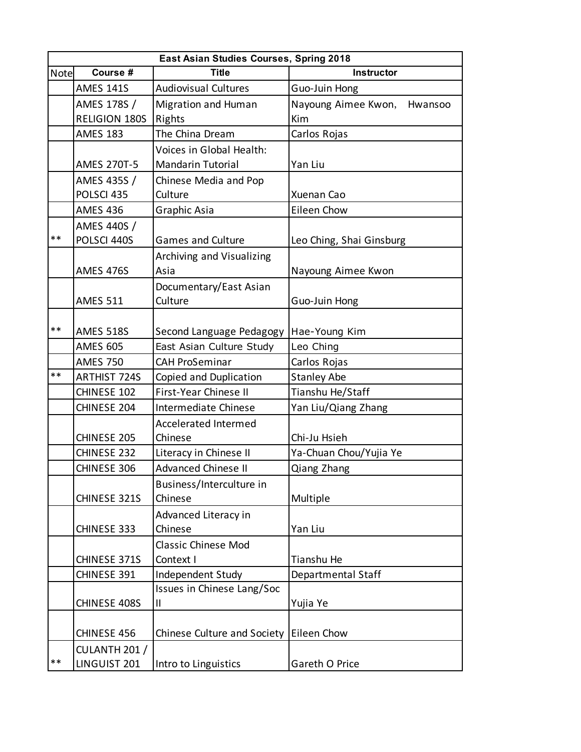| East Asian Studies Courses, Spring 2018 |                      |                             |                             |  |  |
|-----------------------------------------|----------------------|-----------------------------|-----------------------------|--|--|
| Note                                    | Course #             | <b>Title</b>                | Instructor                  |  |  |
|                                         | <b>AMES 141S</b>     | <b>Audiovisual Cultures</b> | Guo-Juin Hong               |  |  |
|                                         | AMES 178S /          | <b>Migration and Human</b>  | Nayoung Aimee Kwon, Hwansoo |  |  |
|                                         | <b>RELIGION 180S</b> | Rights                      | Kim                         |  |  |
|                                         | <b>AMES 183</b>      | The China Dream             | Carlos Rojas                |  |  |
|                                         |                      | Voices in Global Health:    |                             |  |  |
|                                         | <b>AMES 270T-5</b>   | <b>Mandarin Tutorial</b>    | Yan Liu                     |  |  |
|                                         | AMES 435S /          | Chinese Media and Pop       |                             |  |  |
|                                         | POLSCI 435           | Culture                     | Xuenan Cao                  |  |  |
|                                         | <b>AMES 436</b>      | Graphic Asia                | Eileen Chow                 |  |  |
|                                         | AMES 440S /          |                             |                             |  |  |
| $**$                                    | POLSCI 440S          | <b>Games and Culture</b>    | Leo Ching, Shai Ginsburg    |  |  |
|                                         |                      | Archiving and Visualizing   |                             |  |  |
|                                         | <b>AMES 476S</b>     | Asia                        | Nayoung Aimee Kwon          |  |  |
|                                         |                      | Documentary/East Asian      |                             |  |  |
|                                         | <b>AMES 511</b>      | Culture                     | Guo-Juin Hong               |  |  |
|                                         |                      |                             |                             |  |  |
| $**$                                    | <b>AMES 518S</b>     | Second Language Pedagogy    | Hae-Young Kim               |  |  |
|                                         | <b>AMES 605</b>      | East Asian Culture Study    | Leo Ching                   |  |  |
|                                         | <b>AMES 750</b>      | <b>CAH ProSeminar</b>       | Carlos Rojas                |  |  |
| $**$                                    | <b>ARTHIST 724S</b>  | Copied and Duplication      | <b>Stanley Abe</b>          |  |  |
|                                         | CHINESE 102          | First-Year Chinese II       | Tianshu He/Staff            |  |  |
|                                         | CHINESE 204          | Intermediate Chinese        | Yan Liu/Qiang Zhang         |  |  |
|                                         |                      | <b>Accelerated Intermed</b> |                             |  |  |
|                                         | CHINESE 205          | Chinese                     | Chi-Ju Hsieh                |  |  |
|                                         | CHINESE 232          | Literacy in Chinese II      | Ya-Chuan Chou/Yujia Ye      |  |  |
|                                         | CHINESE 306          | <b>Advanced Chinese II</b>  | Qiang Zhang                 |  |  |
|                                         |                      | Business/Interculture in    |                             |  |  |
|                                         | CHINESE 321S         | Chinese                     | Multiple                    |  |  |
|                                         |                      | Advanced Literacy in        |                             |  |  |
|                                         | CHINESE 333          | Chinese                     | Yan Liu                     |  |  |
|                                         |                      | <b>Classic Chinese Mod</b>  |                             |  |  |
|                                         | CHINESE 371S         | Context I                   | Tianshu He                  |  |  |
|                                         | CHINESE 391          | Independent Study           | Departmental Staff          |  |  |
|                                         |                      | Issues in Chinese Lang/Soc  |                             |  |  |
|                                         | CHINESE 408S         | Ш                           | Yujia Ye                    |  |  |
|                                         |                      |                             |                             |  |  |
|                                         | CHINESE 456          | Chinese Culture and Society | Eileen Chow                 |  |  |
|                                         | CULANTH 201 /        |                             |                             |  |  |
| $***$                                   | LINGUIST 201         | Intro to Linguistics        | Gareth O Price              |  |  |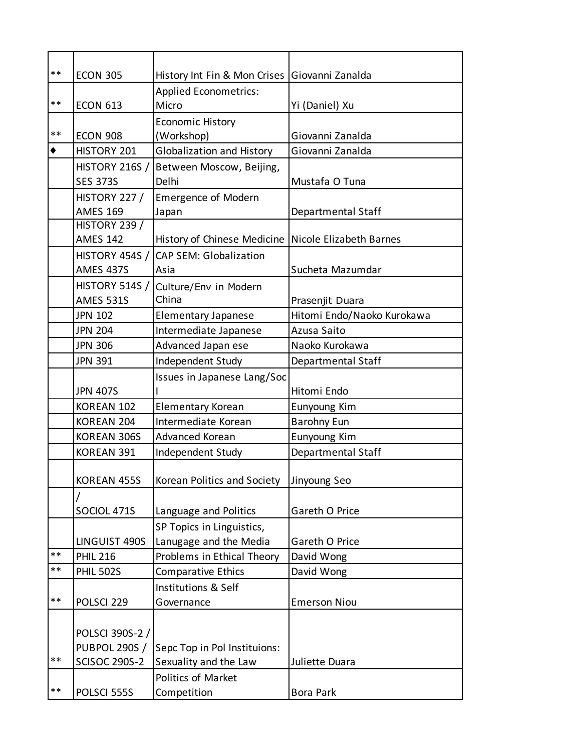| $***$ | <b>ECON 305</b>       | History Int Fin & Mon Crises   Giovanni Zanalda       |                            |
|-------|-----------------------|-------------------------------------------------------|----------------------------|
|       |                       |                                                       |                            |
| **    | <b>ECON 613</b>       | <b>Applied Econometrics:</b><br>Micro                 | Yi (Daniel) Xu             |
|       |                       | <b>Economic History</b>                               |                            |
| $***$ | <b>ECON 908</b>       | (Workshop)                                            | Giovanni Zanalda           |
| ٠     | HISTORY 201           | Globalization and History                             | Giovanni Zanalda           |
|       | <b>HISTORY 216S /</b> | Between Moscow, Beijing,                              |                            |
|       | <b>SES 373S</b>       | Delhi                                                 | Mustafa O Tuna             |
|       | <b>HISTORY 227 /</b>  | <b>Emergence of Modern</b>                            |                            |
|       | <b>AMES 169</b>       | Japan                                                 | Departmental Staff         |
|       | HISTORY 239 /         |                                                       |                            |
|       | <b>AMES 142</b>       | History of Chinese Medicine   Nicole Elizabeth Barnes |                            |
|       | HISTORY 454S /        | <b>CAP SEM: Globalization</b>                         |                            |
|       | <b>AMES 437S</b>      | Asia                                                  | Sucheta Mazumdar           |
|       | <b>HISTORY 514S /</b> | Culture/Env in Modern                                 |                            |
|       | <b>AMES 531S</b>      | China                                                 | Prasenjit Duara            |
|       | <b>JPN 102</b>        | <b>Elementary Japanese</b>                            | Hitomi Endo/Naoko Kurokawa |
|       | <b>JPN 204</b>        | Intermediate Japanese                                 | Azusa Saito                |
|       | <b>JPN 306</b>        | Advanced Japan ese                                    | Naoko Kurokawa             |
|       | <b>JPN 391</b>        | Independent Study                                     | Departmental Staff         |
|       |                       | Issues in Japanese Lang/Soc                           |                            |
|       | <b>JPN 407S</b>       |                                                       | Hitomi Endo                |
|       | KOREAN 102            | <b>Elementary Korean</b>                              | Eunyoung Kim               |
|       | KOREAN 204            | Intermediate Korean                                   | <b>Barohny Eun</b>         |
|       | <b>KOREAN 306S</b>    | Advanced Korean                                       | Eunyoung Kim               |
|       | <b>KOREAN 391</b>     | Independent Study                                     | Departmental Staff         |
|       | <b>KOREAN 455S</b>    | Korean Politics and Society                           | Jinyoung Seo               |
|       |                       |                                                       |                            |
|       | SOCIOL 471S           | Language and Politics                                 | Gareth O Price             |
|       |                       | SP Topics in Linguistics,                             |                            |
|       | LINGUIST 490S         | Lanugage and the Media                                | Gareth O Price             |
| $***$ | <b>PHIL 216</b>       | Problems in Ethical Theory                            | David Wong                 |
| **    | <b>PHIL 502S</b>      | Comparative Ethics                                    | David Wong                 |
|       |                       | Institutions & Self                                   |                            |
| $***$ | POLSCI 229            | Governance                                            | <b>Emerson Niou</b>        |
|       |                       |                                                       |                            |
|       | POLSCI 390S-2 /       |                                                       |                            |
|       | <b>PUBPOL 290S /</b>  | Sepc Top in Pol Instituions:                          |                            |
| $***$ | <b>SCISOC 290S-2</b>  | Sexuality and the Law                                 | Juliette Duara             |
|       |                       | Politics of Market                                    |                            |
| **    | POLSCI 555S           | Competition                                           | <b>Bora Park</b>           |